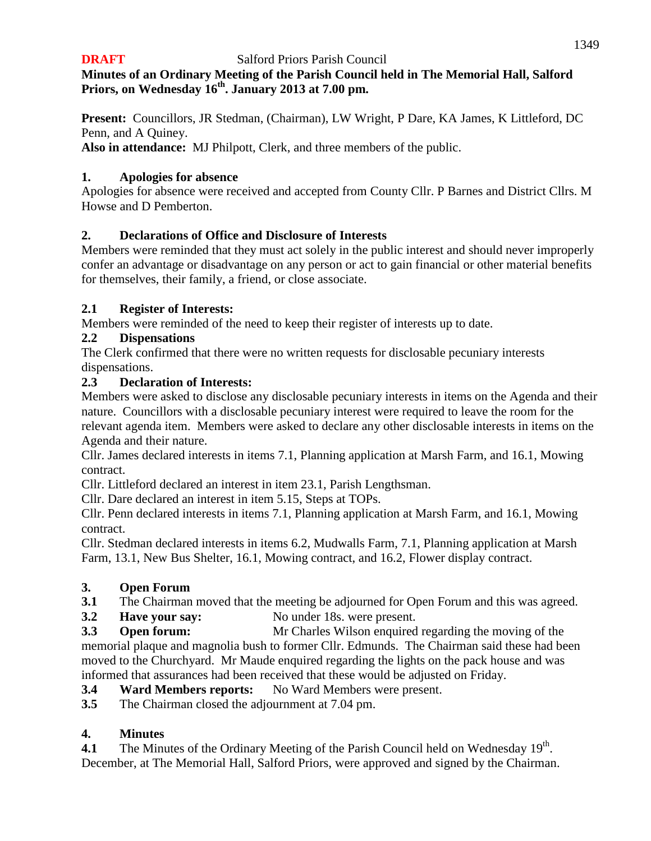# **Minutes of an Ordinary Meeting of the Parish Council held in The Memorial Hall, Salford Priors, on Wednesday 16 th . January 2013 at 7.00 pm.**

**Present:** Councillors, JR Stedman, (Chairman), LW Wright, P Dare, KA James, K Littleford, DC Penn, and A Quiney.

**Also in attendance:** MJ Philpott, Clerk, and three members of the public.

# **1. Apologies for absence**

Apologies for absence were received and accepted from County Cllr. P Barnes and District Cllrs. M Howse and D Pemberton.

# **2. Declarations of Office and Disclosure of Interests**

Members were reminded that they must act solely in the public interest and should never improperly confer an advantage or disadvantage on any person or act to gain financial or other material benefits for themselves, their family, a friend, or close associate.

# **2.1 Register of Interests:**

Members were reminded of the need to keep their register of interests up to date.

# **2.2 Dispensations**

The Clerk confirmed that there were no written requests for disclosable pecuniary interests dispensations.

# **2.3 Declaration of Interests:**

Members were asked to disclose any disclosable pecuniary interests in items on the Agenda and their nature. Councillors with a disclosable pecuniary interest were required to leave the room for the relevant agenda item. Members were asked to declare any other disclosable interests in items on the Agenda and their nature.

Cllr. James declared interests in items 7.1, Planning application at Marsh Farm, and 16.1, Mowing contract.

Cllr. Littleford declared an interest in item 23.1, Parish Lengthsman.

Cllr. Dare declared an interest in item 5.15, Steps at TOPs.

Cllr. Penn declared interests in items 7.1, Planning application at Marsh Farm, and 16.1, Mowing contract.

Cllr. Stedman declared interests in items 6.2, Mudwalls Farm, 7.1, Planning application at Marsh Farm, 13.1, New Bus Shelter, 16.1, Mowing contract, and 16.2, Flower display contract.

# **3. Open Forum**

- **3.1** The Chairman moved that the meeting be adjourned for Open Forum and this was agreed.
- **3.2 Have your say:** No under 18s. were present.

**3.3 Open forum:** Mr Charles Wilson enquired regarding the moving of the memorial plaque and magnolia bush to former Cllr. Edmunds. The Chairman said these had been moved to the Churchyard. Mr Maude enquired regarding the lights on the pack house and was informed that assurances had been received that these would be adjusted on Friday.

**3.4 Ward Members reports:** No Ward Members were present.

**3.5** The Chairman closed the adjournment at 7.04 pm.

# **4. Minutes**

**4.1** The Minutes of the Ordinary Meeting of the Parish Council held on Wednesday  $19<sup>th</sup>$ . December, at The Memorial Hall, Salford Priors, were approved and signed by the Chairman.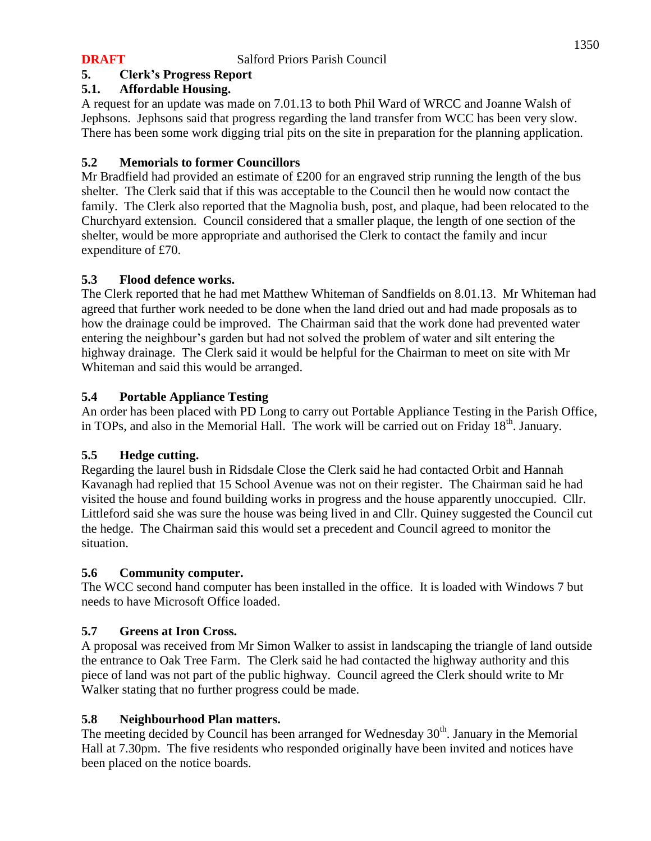## **5. Clerk's Progress Report**

### **5.1. Affordable Housing.**

A request for an update was made on 7.01.13 to both Phil Ward of WRCC and Joanne Walsh of Jephsons. Jephsons said that progress regarding the land transfer from WCC has been very slow. There has been some work digging trial pits on the site in preparation for the planning application.

## **5.2 Memorials to former Councillors**

Mr Bradfield had provided an estimate of  $\text{\pounds}200$  for an engraved strip running the length of the bus shelter. The Clerk said that if this was acceptable to the Council then he would now contact the family. The Clerk also reported that the Magnolia bush, post, and plaque, had been relocated to the Churchyard extension. Council considered that a smaller plaque, the length of one section of the shelter, would be more appropriate and authorised the Clerk to contact the family and incur expenditure of £70.

### **5.3 Flood defence works.**

The Clerk reported that he had met Matthew Whiteman of Sandfields on 8.01.13. Mr Whiteman had agreed that further work needed to be done when the land dried out and had made proposals as to how the drainage could be improved. The Chairman said that the work done had prevented water entering the neighbour's garden but had not solved the problem of water and silt entering the highway drainage. The Clerk said it would be helpful for the Chairman to meet on site with Mr Whiteman and said this would be arranged.

## **5.4 Portable Appliance Testing**

An order has been placed with PD Long to carry out Portable Appliance Testing in the Parish Office, in TOPs, and also in the Memorial Hall. The work will be carried out on Friday  $18<sup>th</sup>$ . January.

### **5.5 Hedge cutting.**

Regarding the laurel bush in Ridsdale Close the Clerk said he had contacted Orbit and Hannah Kavanagh had replied that 15 School Avenue was not on their register. The Chairman said he had visited the house and found building works in progress and the house apparently unoccupied. Cllr. Littleford said she was sure the house was being lived in and Cllr. Quiney suggested the Council cut the hedge. The Chairman said this would set a precedent and Council agreed to monitor the situation.

### **5.6 Community computer.**

The WCC second hand computer has been installed in the office. It is loaded with Windows 7 but needs to have Microsoft Office loaded.

### **5.7 Greens at Iron Cross.**

A proposal was received from Mr Simon Walker to assist in landscaping the triangle of land outside the entrance to Oak Tree Farm. The Clerk said he had contacted the highway authority and this piece of land was not part of the public highway. Council agreed the Clerk should write to Mr Walker stating that no further progress could be made.

### **5.8 Neighbourhood Plan matters.**

The meeting decided by Council has been arranged for Wednesday  $30<sup>th</sup>$ . January in the Memorial Hall at 7.30pm. The five residents who responded originally have been invited and notices have been placed on the notice boards.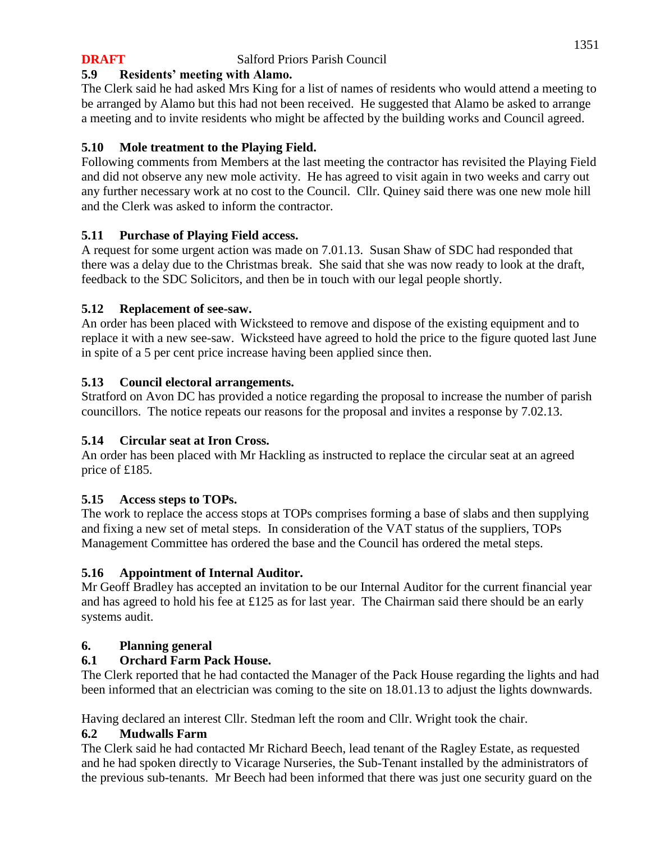# **5.9 Residents' meeting with Alamo.**

The Clerk said he had asked Mrs King for a list of names of residents who would attend a meeting to be arranged by Alamo but this had not been received. He suggested that Alamo be asked to arrange a meeting and to invite residents who might be affected by the building works and Council agreed.

# **5.10 Mole treatment to the Playing Field.**

Following comments from Members at the last meeting the contractor has revisited the Playing Field and did not observe any new mole activity. He has agreed to visit again in two weeks and carry out any further necessary work at no cost to the Council. Cllr. Quiney said there was one new mole hill and the Clerk was asked to inform the contractor.

# **5.11 Purchase of Playing Field access.**

A request for some urgent action was made on 7.01.13. Susan Shaw of SDC had responded that there was a delay due to the Christmas break. She said that she was now ready to look at the draft, feedback to the SDC Solicitors, and then be in touch with our legal people shortly.

# **5.12 Replacement of see-saw.**

An order has been placed with Wicksteed to remove and dispose of the existing equipment and to replace it with a new see-saw. Wicksteed have agreed to hold the price to the figure quoted last June in spite of a 5 per cent price increase having been applied since then.

# **5.13 Council electoral arrangements.**

Stratford on Avon DC has provided a notice regarding the proposal to increase the number of parish councillors. The notice repeats our reasons for the proposal and invites a response by 7.02.13.

# **5.14 Circular seat at Iron Cross.**

An order has been placed with Mr Hackling as instructed to replace the circular seat at an agreed price of £185.

# **5.15 Access steps to TOPs.**

The work to replace the access stops at TOPs comprises forming a base of slabs and then supplying and fixing a new set of metal steps. In consideration of the VAT status of the suppliers, TOPs Management Committee has ordered the base and the Council has ordered the metal steps.

# **5.16 Appointment of Internal Auditor.**

Mr Geoff Bradley has accepted an invitation to be our Internal Auditor for the current financial year and has agreed to hold his fee at £125 as for last year. The Chairman said there should be an early systems audit.

# **6. Planning general**

# **6.1 Orchard Farm Pack House.**

The Clerk reported that he had contacted the Manager of the Pack House regarding the lights and had been informed that an electrician was coming to the site on 18.01.13 to adjust the lights downwards.

Having declared an interest Cllr. Stedman left the room and Cllr. Wright took the chair.

# **6.2 Mudwalls Farm**

The Clerk said he had contacted Mr Richard Beech, lead tenant of the Ragley Estate, as requested and he had spoken directly to Vicarage Nurseries, the Sub-Tenant installed by the administrators of the previous sub-tenants. Mr Beech had been informed that there was just one security guard on the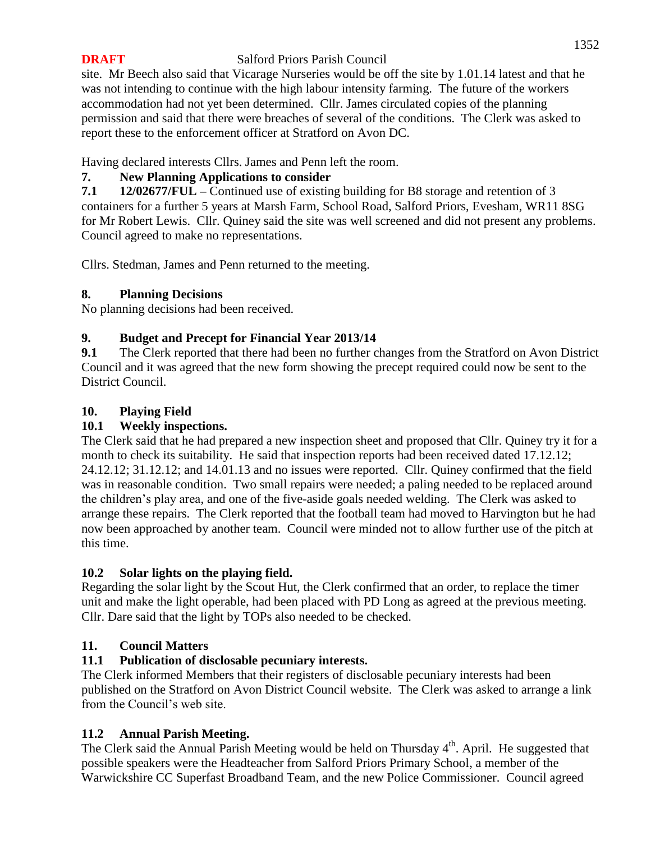### 1352

## **DRAFT** Salford Priors Parish Council

site. Mr Beech also said that Vicarage Nurseries would be off the site by 1.01.14 latest and that he was not intending to continue with the high labour intensity farming. The future of the workers accommodation had not yet been determined. Cllr. James circulated copies of the planning permission and said that there were breaches of several of the conditions. The Clerk was asked to report these to the enforcement officer at Stratford on Avon DC.

Having declared interests Cllrs. James and Penn left the room.

# **7. New Planning Applications to consider**

**7.1 12/02677/FUL –** Continued use of existing building for B8 storage and retention of 3 containers for a further 5 years at Marsh Farm, School Road, Salford Priors, Evesham, WR11 8SG for Mr Robert Lewis. Cllr. Quiney said the site was well screened and did not present any problems. Council agreed to make no representations.

Cllrs. Stedman, James and Penn returned to the meeting.

## **8. Planning Decisions**

No planning decisions had been received.

# **9. Budget and Precept for Financial Year 2013/14**

**9.1** The Clerk reported that there had been no further changes from the Stratford on Avon District Council and it was agreed that the new form showing the precept required could now be sent to the District Council.

## **10. Playing Field**

# **10.1 Weekly inspections.**

The Clerk said that he had prepared a new inspection sheet and proposed that Cllr. Quiney try it for a month to check its suitability. He said that inspection reports had been received dated 17.12.12; 24.12.12; 31.12.12; and 14.01.13 and no issues were reported. Cllr. Quiney confirmed that the field was in reasonable condition. Two small repairs were needed; a paling needed to be replaced around the children's play area, and one of the five-aside goals needed welding. The Clerk was asked to arrange these repairs. The Clerk reported that the football team had moved to Harvington but he had now been approached by another team. Council were minded not to allow further use of the pitch at this time.

# **10.2 Solar lights on the playing field.**

Regarding the solar light by the Scout Hut, the Clerk confirmed that an order, to replace the timer unit and make the light operable, had been placed with PD Long as agreed at the previous meeting. Cllr. Dare said that the light by TOPs also needed to be checked.

# **11. Council Matters**

# **11.1 Publication of disclosable pecuniary interests.**

The Clerk informed Members that their registers of disclosable pecuniary interests had been published on the Stratford on Avon District Council website. The Clerk was asked to arrange a link from the Council's web site.

### **11.2 Annual Parish Meeting.**

The Clerk said the Annual Parish Meeting would be held on Thursday  $4<sup>th</sup>$ . April. He suggested that possible speakers were the Headteacher from Salford Priors Primary School, a member of the Warwickshire CC Superfast Broadband Team, and the new Police Commissioner. Council agreed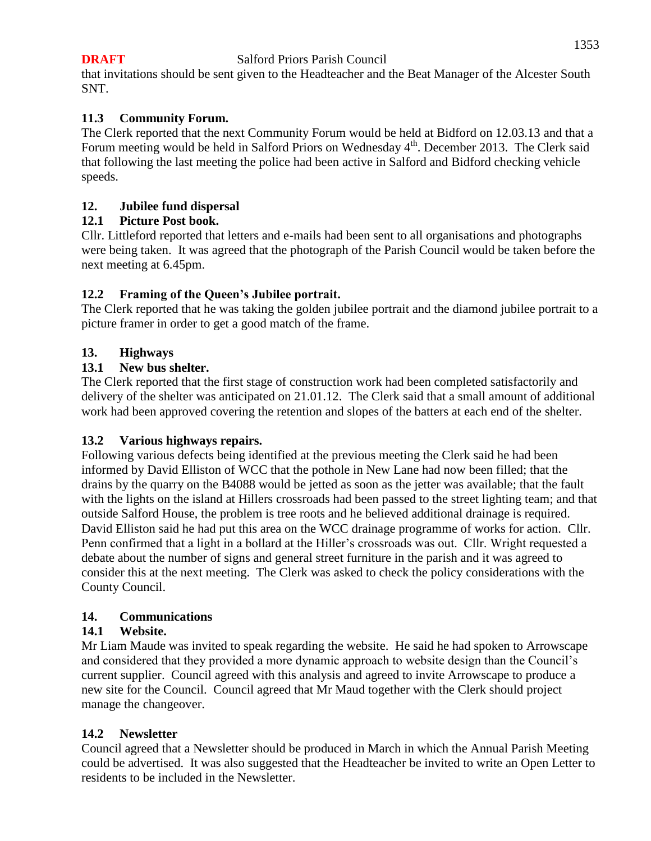#### 1353

#### **DRAFT** Salford Priors Parish Council

that invitations should be sent given to the Headteacher and the Beat Manager of the Alcester South SNT.

### **11.3 Community Forum.**

The Clerk reported that the next Community Forum would be held at Bidford on 12.03.13 and that a Forum meeting would be held in Salford Priors on Wednesday  $4<sup>th</sup>$ . December 2013. The Clerk said that following the last meeting the police had been active in Salford and Bidford checking vehicle speeds.

#### **12. Jubilee fund dispersal**

#### **12.1 Picture Post book.**

Cllr. Littleford reported that letters and e-mails had been sent to all organisations and photographs were being taken. It was agreed that the photograph of the Parish Council would be taken before the next meeting at 6.45pm.

### **12.2 Framing of the Queen's Jubilee portrait.**

The Clerk reported that he was taking the golden jubilee portrait and the diamond jubilee portrait to a picture framer in order to get a good match of the frame.

#### **13. Highways**

#### **13.1 New bus shelter.**

The Clerk reported that the first stage of construction work had been completed satisfactorily and delivery of the shelter was anticipated on 21.01.12. The Clerk said that a small amount of additional work had been approved covering the retention and slopes of the batters at each end of the shelter.

### **13.2 Various highways repairs.**

Following various defects being identified at the previous meeting the Clerk said he had been informed by David Elliston of WCC that the pothole in New Lane had now been filled; that the drains by the quarry on the B4088 would be jetted as soon as the jetter was available; that the fault with the lights on the island at Hillers crossroads had been passed to the street lighting team; and that outside Salford House, the problem is tree roots and he believed additional drainage is required. David Elliston said he had put this area on the WCC drainage programme of works for action. Cllr. Penn confirmed that a light in a bollard at the Hiller's crossroads was out. Cllr. Wright requested a debate about the number of signs and general street furniture in the parish and it was agreed to consider this at the next meeting. The Clerk was asked to check the policy considerations with the County Council.

#### **14. Communications**

### **14.1 Website.**

Mr Liam Maude was invited to speak regarding the website. He said he had spoken to Arrowscape and considered that they provided a more dynamic approach to website design than the Council's current supplier. Council agreed with this analysis and agreed to invite Arrowscape to produce a new site for the Council. Council agreed that Mr Maud together with the Clerk should project manage the changeover.

#### **14.2 Newsletter**

Council agreed that a Newsletter should be produced in March in which the Annual Parish Meeting could be advertised. It was also suggested that the Headteacher be invited to write an Open Letter to residents to be included in the Newsletter.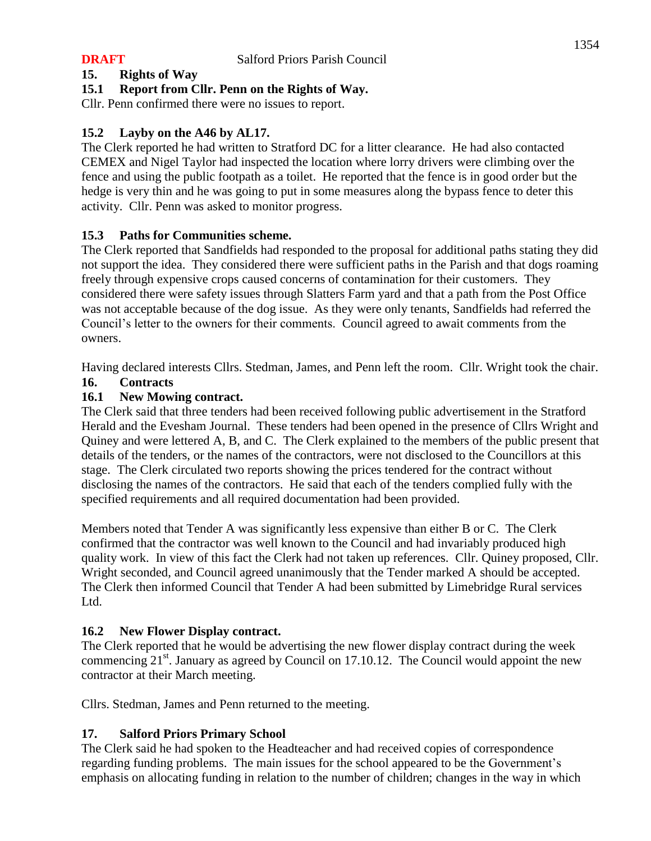# **15. Rights of Way**

# **15.1 Report from Cllr. Penn on the Rights of Way.**

Cllr. Penn confirmed there were no issues to report.

# **15.2 Layby on the A46 by AL17.**

The Clerk reported he had written to Stratford DC for a litter clearance. He had also contacted CEMEX and Nigel Taylor had inspected the location where lorry drivers were climbing over the fence and using the public footpath as a toilet. He reported that the fence is in good order but the hedge is very thin and he was going to put in some measures along the bypass fence to deter this activity. Cllr. Penn was asked to monitor progress.

## **15.3 Paths for Communities scheme.**

The Clerk reported that Sandfields had responded to the proposal for additional paths stating they did not support the idea. They considered there were sufficient paths in the Parish and that dogs roaming freely through expensive crops caused concerns of contamination for their customers. They considered there were safety issues through Slatters Farm yard and that a path from the Post Office was not acceptable because of the dog issue. As they were only tenants, Sandfields had referred the Council's letter to the owners for their comments. Council agreed to await comments from the owners.

Having declared interests Cllrs. Stedman, James, and Penn left the room. Cllr. Wright took the chair.

## **16. Contracts**

## **16.1 New Mowing contract.**

The Clerk said that three tenders had been received following public advertisement in the Stratford Herald and the Evesham Journal. These tenders had been opened in the presence of Cllrs Wright and Quiney and were lettered A, B, and C. The Clerk explained to the members of the public present that details of the tenders, or the names of the contractors, were not disclosed to the Councillors at this stage. The Clerk circulated two reports showing the prices tendered for the contract without disclosing the names of the contractors. He said that each of the tenders complied fully with the specified requirements and all required documentation had been provided.

Members noted that Tender A was significantly less expensive than either B or C. The Clerk confirmed that the contractor was well known to the Council and had invariably produced high quality work. In view of this fact the Clerk had not taken up references. Cllr. Quiney proposed, Cllr. Wright seconded, and Council agreed unanimously that the Tender marked A should be accepted. The Clerk then informed Council that Tender A had been submitted by Limebridge Rural services Ltd.

### **16.2 New Flower Display contract.**

The Clerk reported that he would be advertising the new flower display contract during the week commencing 21<sup>st</sup>. January as agreed by Council on 17.10.12. The Council would appoint the new contractor at their March meeting.

Cllrs. Stedman, James and Penn returned to the meeting.

### **17. Salford Priors Primary School**

The Clerk said he had spoken to the Headteacher and had received copies of correspondence regarding funding problems. The main issues for the school appeared to be the Government's emphasis on allocating funding in relation to the number of children; changes in the way in which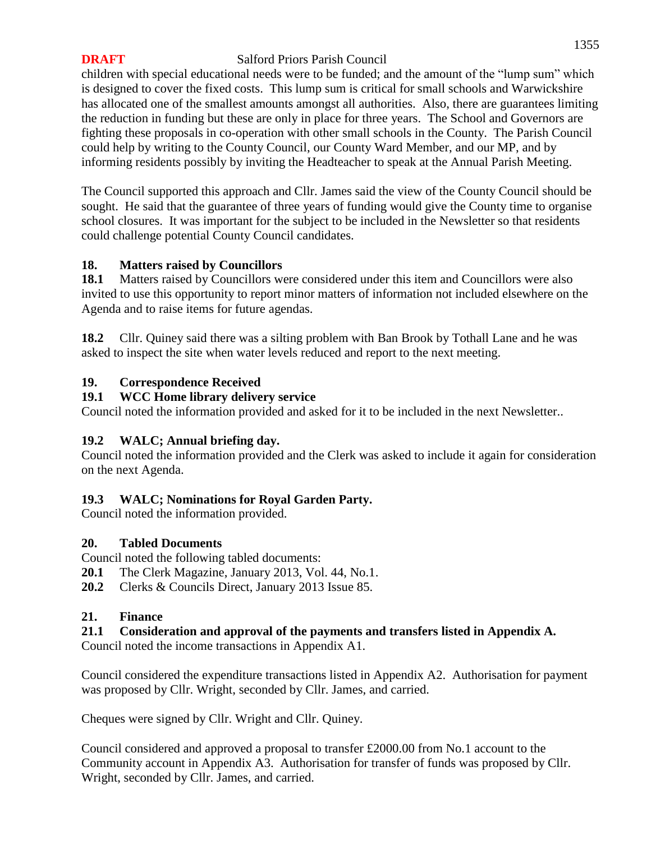children with special educational needs were to be funded; and the amount of the "lump sum" which is designed to cover the fixed costs. This lump sum is critical for small schools and Warwickshire has allocated one of the smallest amounts amongst all authorities. Also, there are guarantees limiting the reduction in funding but these are only in place for three years. The School and Governors are fighting these proposals in co-operation with other small schools in the County. The Parish Council could help by writing to the County Council, our County Ward Member, and our MP, and by informing residents possibly by inviting the Headteacher to speak at the Annual Parish Meeting.

The Council supported this approach and Cllr. James said the view of the County Council should be sought. He said that the guarantee of three years of funding would give the County time to organise school closures. It was important for the subject to be included in the Newsletter so that residents could challenge potential County Council candidates.

## **18. Matters raised by Councillors**

**18.1** Matters raised by Councillors were considered under this item and Councillors were also invited to use this opportunity to report minor matters of information not included elsewhere on the Agenda and to raise items for future agendas.

**18.2** Cllr. Quiney said there was a silting problem with Ban Brook by Tothall Lane and he was asked to inspect the site when water levels reduced and report to the next meeting.

# **19. Correspondence Received**

## **19.1 WCC Home library delivery service**

Council noted the information provided and asked for it to be included in the next Newsletter..

# **19.2 WALC; Annual briefing day.**

Council noted the information provided and the Clerk was asked to include it again for consideration on the next Agenda.

# **19.3 WALC; Nominations for Royal Garden Party.**

Council noted the information provided.

# **20. Tabled Documents**

Council noted the following tabled documents:

- **20.1** The Clerk Magazine, January 2013, Vol. 44, No.1.
- **20.2** Clerks & Councils Direct, January 2013 Issue 85.

### **21. Finance**

# **21.1 Consideration and approval of the payments and transfers listed in Appendix A.**

Council noted the income transactions in Appendix A1.

Council considered the expenditure transactions listed in Appendix A2. Authorisation for payment was proposed by Cllr. Wright, seconded by Cllr. James, and carried.

Cheques were signed by Cllr. Wright and Cllr. Quiney.

Council considered and approved a proposal to transfer £2000.00 from No.1 account to the Community account in Appendix A3. Authorisation for transfer of funds was proposed by Cllr. Wright, seconded by Cllr. James, and carried.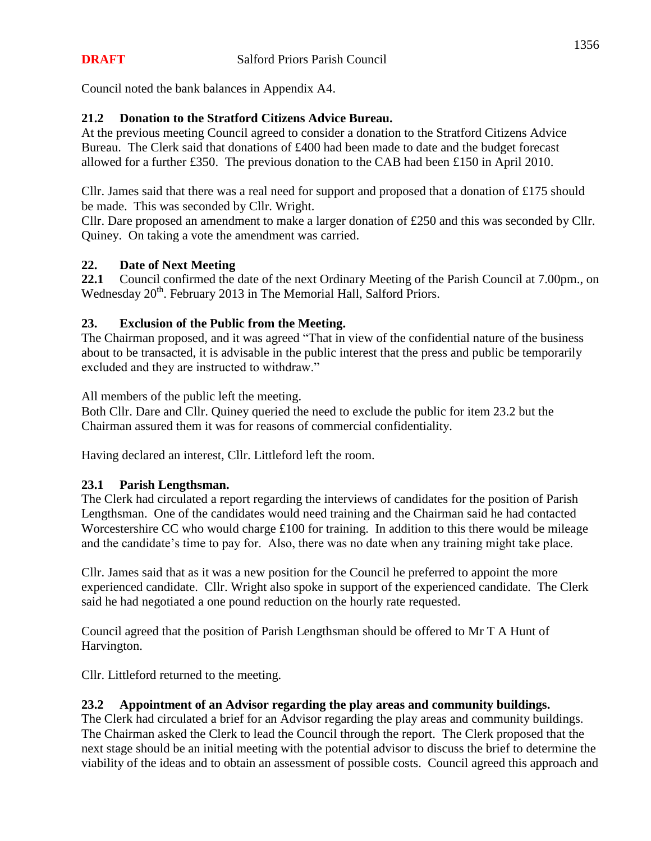Council noted the bank balances in Appendix A4.

# **21.2 Donation to the Stratford Citizens Advice Bureau.**

At the previous meeting Council agreed to consider a donation to the Stratford Citizens Advice Bureau. The Clerk said that donations of £400 had been made to date and the budget forecast allowed for a further £350. The previous donation to the CAB had been £150 in April 2010.

Cllr. James said that there was a real need for support and proposed that a donation of £175 should be made. This was seconded by Cllr. Wright.

Cllr. Dare proposed an amendment to make a larger donation of £250 and this was seconded by Cllr. Quiney. On taking a vote the amendment was carried.

### **22. Date of Next Meeting**

**22.1** Council confirmed the date of the next Ordinary Meeting of the Parish Council at 7.00pm., on Wednesday 20<sup>th</sup>. February 2013 in The Memorial Hall, Salford Priors.

## **23. Exclusion of the Public from the Meeting.**

The Chairman proposed, and it was agreed "That in view of the confidential nature of the business about to be transacted, it is advisable in the public interest that the press and public be temporarily excluded and they are instructed to withdraw."

All members of the public left the meeting.

Both Cllr. Dare and Cllr. Quiney queried the need to exclude the public for item 23.2 but the Chairman assured them it was for reasons of commercial confidentiality.

Having declared an interest, Cllr. Littleford left the room.

### **23.1 Parish Lengthsman.**

The Clerk had circulated a report regarding the interviews of candidates for the position of Parish Lengthsman. One of the candidates would need training and the Chairman said he had contacted Worcestershire CC who would charge £100 for training. In addition to this there would be mileage and the candidate's time to pay for. Also, there was no date when any training might take place.

Cllr. James said that as it was a new position for the Council he preferred to appoint the more experienced candidate. Cllr. Wright also spoke in support of the experienced candidate. The Clerk said he had negotiated a one pound reduction on the hourly rate requested.

Council agreed that the position of Parish Lengthsman should be offered to Mr T A Hunt of Harvington.

Cllr. Littleford returned to the meeting.

### **23.2 Appointment of an Advisor regarding the play areas and community buildings.**

The Clerk had circulated a brief for an Advisor regarding the play areas and community buildings. The Chairman asked the Clerk to lead the Council through the report. The Clerk proposed that the next stage should be an initial meeting with the potential advisor to discuss the brief to determine the viability of the ideas and to obtain an assessment of possible costs. Council agreed this approach and